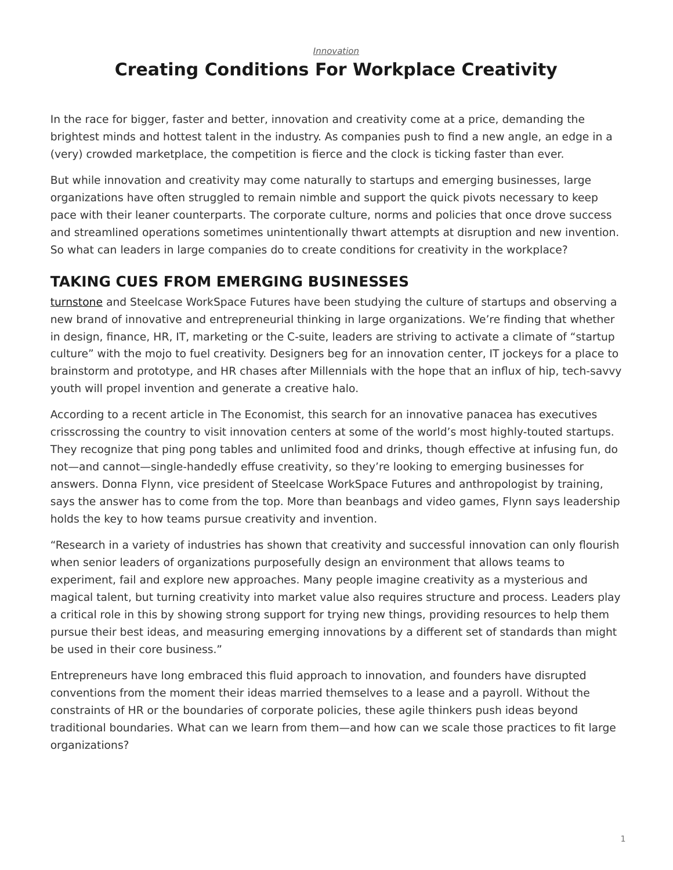*[Innovation](https://www.steelcase.com/research/topics/innovation/)*

# <span id="page-0-0"></span>**Creating Conditions For Workplace Creativity**

In the race for bigger, faster and better, innovation and creativity come at a price, demanding the brightest minds and hottest talent in the industry. As companies push to find a new angle, an edge in a (very) crowded marketplace, the competition is fierce and the clock is ticking faster than ever.

But while innovation and creativity may come naturally to startups and emerging businesses, large organizations have often struggled to remain nimble and support the quick pivots necessary to keep pace with their leaner counterparts. The corporate culture, norms and policies that once drove success and streamlined operations sometimes unintentionally thwart attempts at disruption and new invention. So what can leaders in large companies do to create conditions for creativity in the workplace?

### **TAKING CUES FROM EMERGING BUSINESSES**

[turnstone](https://www.steelcase.com/discover/brands/turnstone/) and Steelcase WorkSpace Futures have been studying the culture of startups and observing a new brand of innovative and entrepreneurial thinking in large organizations. We're finding that whether in design, finance, HR, IT, marketing or the C-suite, leaders are striving to activate a climate of "startup culture" with the mojo to fuel creativity. Designers beg for an innovation center, IT jockeys for a place to brainstorm and prototype, and HR chases after Millennials with the hope that an influx of hip, tech-savvy youth will propel invention and generate a creative halo.

According to a recent article in The Economist, this search for an innovative panacea has executives crisscrossing the country to visit innovation centers at some of the world's most highly-touted startups. They recognize that ping pong tables and unlimited food and drinks, though effective at infusing fun, do not—and cannot—single-handedly effuse creativity, so they're looking to emerging businesses for answers. Donna Flynn, vice president of Steelcase WorkSpace Futures and anthropologist by training, says the answer has to come from the top. More than beanbags and video games, Flynn says leadership holds the key to how teams pursue creativity and invention.

"Research in a variety of industries has shown that creativity and successful innovation can only flourish when senior leaders of organizations purposefully design an environment that allows teams to experiment, fail and explore new approaches. Many people imagine creativity as a mysterious and magical talent, but turning creativity into market value also requires structure and process. Leaders play a critical role in this by showing strong support for trying new things, providing resources to help them pursue their best ideas, and measuring emerging innovations by a different set of standards than might be used in their core business."

Entrepreneurs have long embraced this fluid approach to innovation, and founders have disrupted conventions from the moment their ideas married themselves to a lease and a payroll. Without the constraints of HR or the boundaries of corporate policies, these agile thinkers push ideas beyond traditional boundaries. What can we learn from them—and how can we scale those practices to fit large organizations?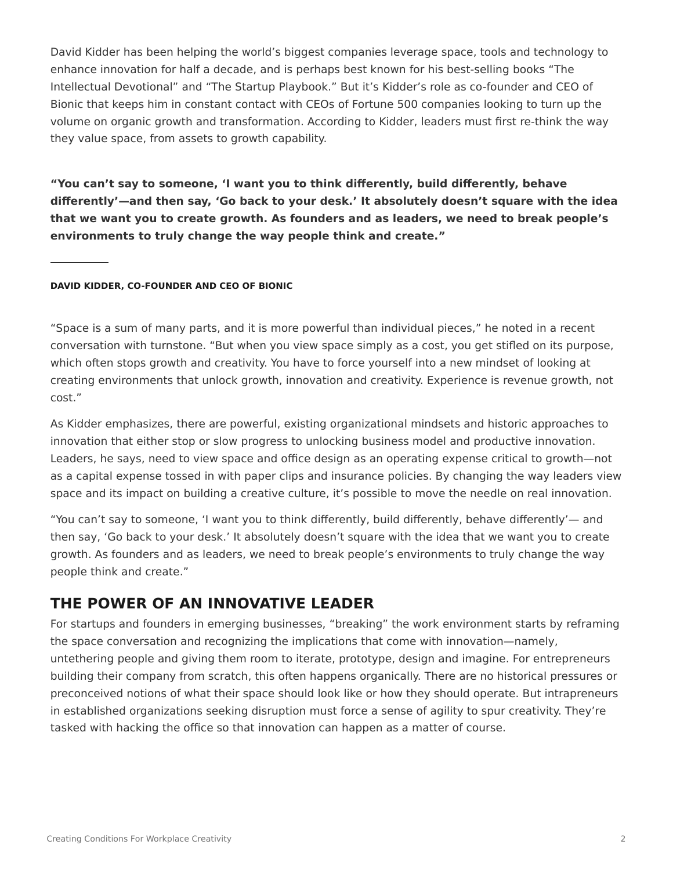David Kidder has been helping the world's biggest companies leverage space, tools and technology to enhance innovation for half a decade, and is perhaps best known for his best-selling books "The Intellectual Devotional" and "The Startup Playbook." But it's Kidder's role as co-founder and CEO of Bionic that keeps him in constant contact with CEOs of Fortune 500 companies looking to turn up the volume on organic growth and transformation. According to Kidder, leaders must first re-think the way they value space, from assets to growth capability.

**"You can't say to someone, 'I want you to think differently, build differently, behave differently'—and then say, 'Go back to your desk.' It absolutely doesn't square with the idea that we want you to create growth. As founders and as leaders, we need to break people's environments to truly change the way people think and create."**

### **DAVID KIDDER, CO-FOUNDER AND CEO OF BIONIC**

"Space is a sum of many parts, and it is more powerful than individual pieces," he noted in a recent conversation with turnstone. "But when you view space simply as a cost, you get stifled on its purpose, which often stops growth and creativity. You have to force yourself into a new mindset of looking at creating environments that unlock growth, innovation and creativity. Experience is revenue growth, not cost."

As Kidder emphasizes, there are powerful, existing organizational mindsets and historic approaches to innovation that either stop or slow progress to unlocking business model and productive innovation. Leaders, he says, need to view space and office design as an operating expense critical to growth—not as a capital expense tossed in with paper clips and insurance policies. By changing the way leaders view space and its impact on building a creative culture, it's possible to move the needle on real innovation.

"You can't say to someone, 'I want you to think differently, build differently, behave differently'— and then say, 'Go back to your desk.' It absolutely doesn't square with the idea that we want you to create growth. As founders and as leaders, we need to break people's environments to truly change the way people think and create."

### **THE POWER OF AN INNOVATIVE LEADER**

For startups and founders in emerging businesses, "breaking" the work environment starts by reframing the space conversation and recognizing the implications that come with innovation—namely, untethering people and giving them room to iterate, prototype, design and imagine. For entrepreneurs building their company from scratch, this often happens organically. There are no historical pressures or preconceived notions of what their space should look like or how they should operate. But intrapreneurs in established organizations seeking disruption must force a sense of agility to spur creativity. They're tasked with hacking the office so that innovation can happen as a matter of course.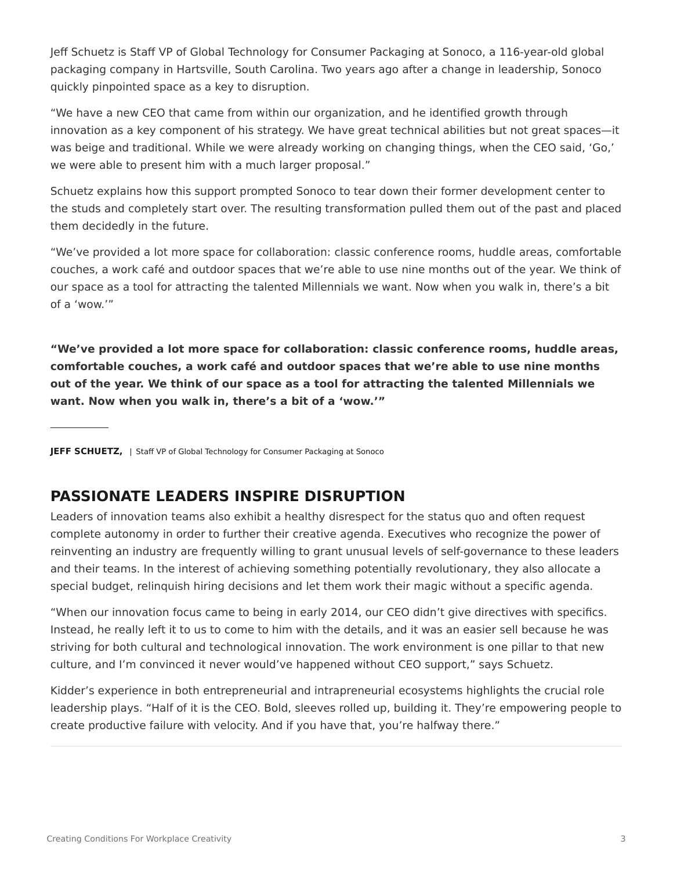Jeff Schuetz is Staff VP of Global Technology for Consumer Packaging at Sonoco, a 116-year-old global packaging company in Hartsville, South Carolina. Two years ago after a change in leadership, Sonoco quickly pinpointed space as a key to disruption.

"We have a new CEO that came from within our organization, and he identified growth through innovation as a key component of his strategy. We have great technical abilities but not great spaces—it was beige and traditional. While we were already working on changing things, when the CEO said, 'Go,' we were able to present him with a much larger proposal."

Schuetz explains how this support prompted Sonoco to tear down their former development center to the studs and completely start over. The resulting transformation pulled them out of the past and placed them decidedly in the future.

"We've provided a lot more space for collaboration: classic conference rooms, huddle areas, comfortable couches, a work café and outdoor spaces that we're able to use nine months out of the year. We think of our space as a tool for attracting the talented Millennials we want. Now when you walk in, there's a bit of a 'wow.'"

**"We've provided a lot more space for collaboration: classic conference rooms, huddle areas, comfortable couches, a work café and outdoor spaces that we're able to use nine months out of the year. We think of our space as a tool for attracting the talented Millennials we want. Now when you walk in, there's a bit of a 'wow.'"**

**JEFF SCHUETZ,** | Staff VP of Global Technology for Consumer Packaging at Sonoco

# **PASSIONATE LEADERS INSPIRE DISRUPTION**

Leaders of innovation teams also exhibit a healthy disrespect for the status quo and often request complete autonomy in order to further their creative agenda. Executives who recognize the power of reinventing an industry are frequently willing to grant unusual levels of self-governance to these leaders and their teams. In the interest of achieving something potentially revolutionary, they also allocate a special budget, relinquish hiring decisions and let them work their magic without a specific agenda.

"When our innovation focus came to being in early 2014, our CEO didn't give directives with specifics. Instead, he really left it to us to come to him with the details, and it was an easier sell because he was striving for both cultural and technological innovation. The work environment is one pillar to that new culture, and I'm convinced it never would've happened without CEO support," says Schuetz.

Kidder's experience in both entrepreneurial and intrapreneurial ecosystems highlights the crucial role leadership plays. "Half of it is the CEO. Bold, sleeves rolled up, building it. They're empowering people to create productive failure with velocity. And if you have that, you're halfway there."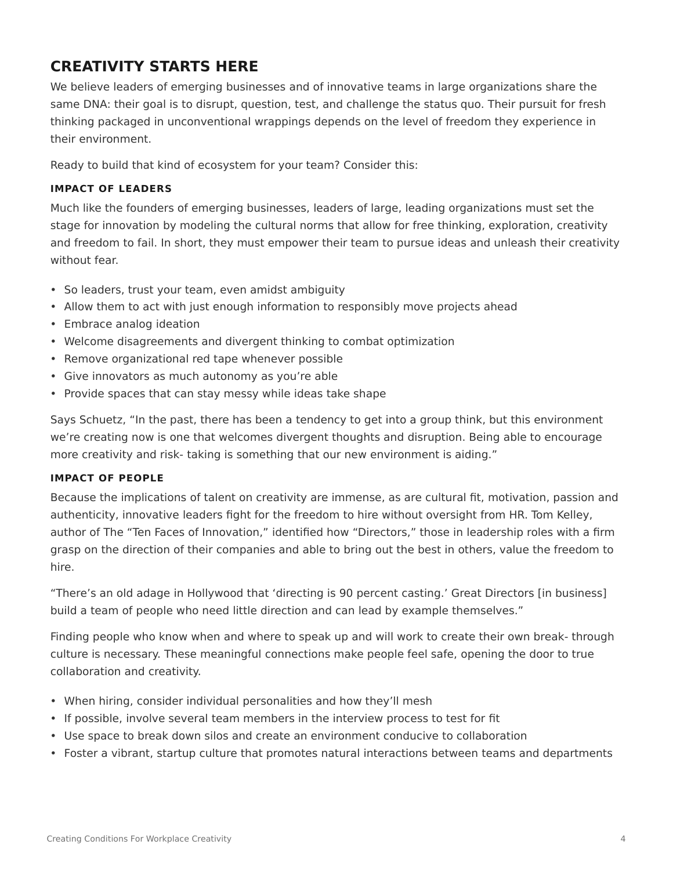## **CREATIVITY STARTS HERE**

We believe leaders of emerging businesses and of innovative teams in large organizations share the same DNA: their goal is to disrupt, question, test, and challenge the status quo. Their pursuit for fresh thinking packaged in unconventional wrappings depends on the level of freedom they experience in their environment.

Ready to build that kind of ecosystem for your team? Consider this:

### **IMPACT OF LEADERS**

Much like the founders of emerging businesses, leaders of large, leading organizations must set the stage for innovation by modeling the cultural norms that allow for free thinking, exploration, creativity and freedom to fail. In short, they must empower their team to pursue ideas and unleash their creativity without fear.

- So leaders, trust your team, even amidst ambiguity
- Allow them to act with just enough information to responsibly move projects ahead
- Embrace analog ideation
- Welcome disagreements and divergent thinking to combat optimization
- Remove organizational red tape whenever possible
- Give innovators as much autonomy as you're able
- Provide spaces that can stay messy while ideas take shape

Says Schuetz, "In the past, there has been a tendency to get into a group think, but this environment we're creating now is one that welcomes divergent thoughts and disruption. Being able to encourage more creativity and risk- taking is something that our new environment is aiding."

### **IMPACT OF PEOPLE**

Because the implications of talent on creativity are immense, as are cultural fit, motivation, passion and authenticity, innovative leaders fight for the freedom to hire without oversight from HR. Tom Kelley, author of The "Ten Faces of Innovation," identified how "Directors," those in leadership roles with a firm grasp on the direction of their companies and able to bring out the best in others, value the freedom to hire.

"There's an old adage in Hollywood that 'directing is 90 percent casting.' Great Directors [in business] build a team of people who need little direction and can lead by example themselves."

Finding people who know when and where to speak up and will work to create their own break- through culture is necessary. These meaningful connections make people feel safe, opening the door to true collaboration and creativity.

- When hiring, consider individual personalities and how they'll mesh
- If possible, involve several team members in the interview process to test for fit
- Use space to break down silos and create an environment conducive to collaboration
- Foster a vibrant, startup culture that promotes natural interactions between teams and departments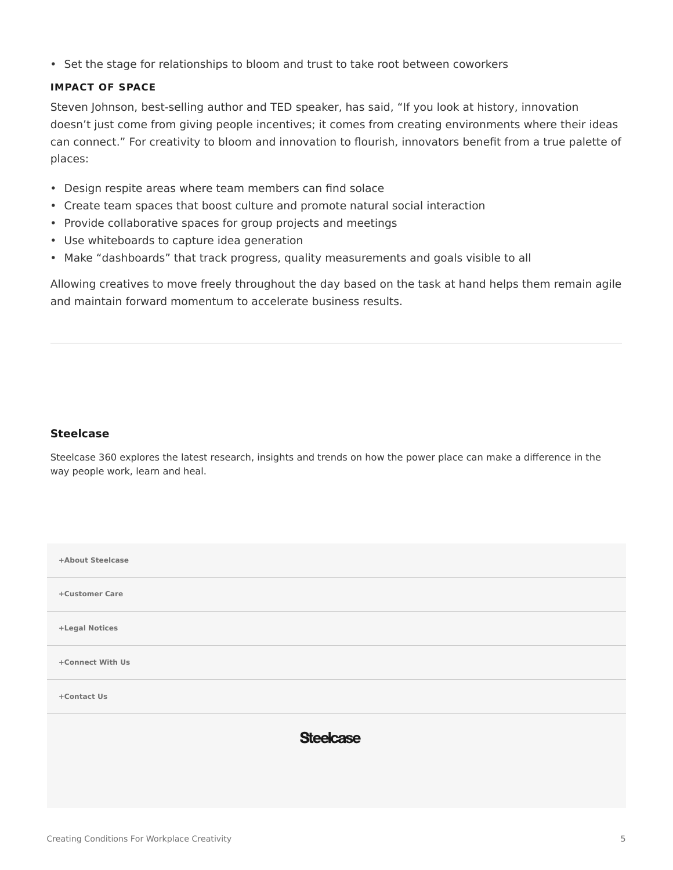• Set the stage for relationships to bloom and trust to take root between coworkers

### **IMPACT OF SPACE**

Steven Johnson, best-selling author and TED speaker, has said, "If you look at history, innovation doesn't just come from giving people incentives; it comes from creating environments where their ideas can connect." For creativity to bloom and innovation to flourish, innovators benefit from a true palette of places:

- Design respite areas where team members can find solace
- Create team spaces that boost culture and promote natural social interaction
- Provide collaborative spaces for group projects and meetings
- Use whiteboards to capture idea generation
- Make "dashboards" that track progress, quality measurements and goals visible to all

Allowing creatives to move freely throughout the day based on the task at hand helps them remain agile and maintain forward momentum to accelerate business results.

#### **[Steelcase](https://www.steelcase.com/research/articles/author/steelcase-360/)**

Steelcase 360 explores the latest research, insights and trends on how the power place can make a difference in the way people work, learn and heal.

| +About Steelcase |  |
|------------------|--|
| +Customer Care   |  |
| +Legal Notices   |  |
| +Connect With Us |  |
| +Contact Us      |  |
| <b>Steelcase</b> |  |
|                  |  |